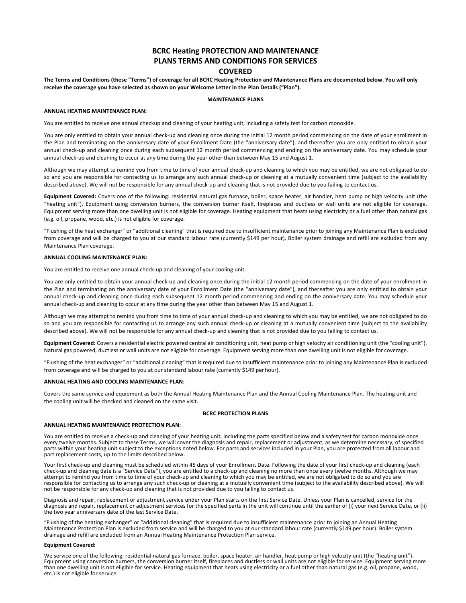# **BCRC Heating PROTECTION AND MAINTENANCE PLANS TERMS AND CONDITIONS FOR SERVICES COVERED**

**The Terms and Conditions (these "Terms") of coverage for all BCRC Heating Protection and Maintenance Plans are documented below. You will only receive the coverage you have selected as shown on your Welcome Letter in the Plan Details ("Plan").**

### **MAINTENANCE PLANS**

#### **ANNUAL HEATING MAINTENANCE PLAN:**

You are entitled to receive one annual checkup and cleaning of your heating unit, including a safety test for carbon monoxide.

You are only entitled to obtain your annual check-up and cleaning once during the initial 12 month period commencing on the date of your enrollment in the Plan and terminating on the anniversary date of your Enrollment Date (the "anniversary date"), and thereafter you are only entitled to obtain your annual check-up and cleaning once during each subsequent 12 month period commencing and ending on the anniversary date. You may schedule your annual check-up and cleaning to occur at any time during the year other than between May 15 and August 1.

Although we may attempt to remind you from time to time of your annual check-up and cleaning to which you may be entitled, we are not obligated to do so and you are responsible for contacting us to arrange any such annual check-up or cleaning at a mutually convenient time (subject to the availability described above). We will not be responsible for any annual check-up and cleaning that is not provided due to you failing to contact us.

**Equipment Covered:** Covers one of the following: residential natural gas furnace, boiler, space heater, air handler, heat pump or high velocity unit (the "heating unit"). Equipment using conversion burners, the conversion burner itself, fireplaces and ductless or wall units are not eligible for coverage. Equipment serving more than one dwelling unit is not eligible for coverage. Heating equipment that heats using electricity or a fuel other than natural gas (e.g. oil, propane, wood, etc.) is not eligible for coverage.

"Flushing of the heat exchanger" or "additional cleaning" that is required due to insufficient maintenance prior to joining any Maintenance Plan is excluded from coverage and will be charged to you at our standard labour rate (currently \$149 per hour). Boiler system drainage and refill are excluded from any Maintenance Plan coverage.

#### **ANNUAL COOLING MAINTENANCE PLAN:**

You are entitled to receive one annual check-up and cleaning of your cooling unit.

You are only entitled to obtain your annual check-up and cleaning once during the initial 12 month period commencing on the date of your enrollment in the Plan and terminating on the anniversary date of your Enrollment Date (the "anniversary date"), and thereafter you are only entitled to obtain your annual check-up and cleaning once during each subsequent 12 month period commencing and ending on the anniversary date. You may schedule your annual check-up and cleaning to occur at any time during the year other than between May 15 and August 1.

Although we may attempt to remind you from time to time of your annual check-up and cleaning to which you may be entitled, we are not obligated to do so and you are responsible for contacting us to arrange any such annual check-up or cleaning at a mutually convenient time (subject to the availability described above). We will not be responsible for any annual check-up and cleaning that is not provided due to you failing to contact us.

**Equipment Covered:** Covers a residential electric powered central air conditioning unit, heat pump or high velocity air conditioning unit (the "cooling unit"). Natural gas powered, ductless or wall units are not eligible for coverage. Equipment serving more than one dwelling unit is not eligible for coverage.

"Flushing of the heat exchanger" or "additional cleaning" that is required due to insufficient maintenance prior to joining any Maintenance Plan is excluded from coverage and will be charged to you at our standard labour rate (currently \$149 perhour).

### **ANNUAL HEATING AND COOLING MAINTENANCE PLAN:**

Covers the same service and equipment as both the Annual Heating Maintenance Plan and the Annual Cooling Maintenance Plan. The heating unit and the cooling unit will be checked and cleaned on the same visit.

#### **BCRC PROTECTION PLANS**

#### **ANNUAL HEATING MAINTENANCE PROTECTION PLAN:**

You are entitled to receive a check-up and cleaning of your heating unit, including the parts specified below and a safety test for carbon monoxide once<br>every twelve months. Subject to these Terms, we will cover the diagno parts within your heating unit subject to the exceptions noted below. For parts and services included in your Plan, you are protected from all labour and part replacement costs, up to the limits described below.

Your first check-up and cleaning must be scheduled within 45 days of your Enrollment Date. Following the date of your first check-up and cleaning (each check-up and cleaning date is a "Service Date"), you are entitled to a check-up and cleaning no more than once every twelve months. Although we may<br>attempt to remind you from time to time of your check-up and cleaning to w responsible for contacting us to arrange any such check-up or cleaning at a mutually convenient time (subject to the availability described above). We will not be responsible for any check-up and cleaning that is not provided due to you failing to contact us.

Diagnosis and repair, replacement or adjustment service under your Plan starts on the first Service Date. Unless your Plan is cancelled, service for the diagnosis and repair, replacement or adjustment services for the specified parts in the unit will continue until the earlier of (i) your next Service Date, or (ii) the two year anniversary date of the last Service Date.

"Flushing of the heating exchanger" or "additional cleaning" that is required due to insufficient maintenance prior to joining an Annual Heating Maintenance Protection Plan is excluded from service and will be charged to you at our standard labour rate (currently \$149 per hour). Boiler system drainage and refill are excluded from an Annual Heating Maintenance Protection Plan service.

#### **Equipment Covered:**

We service one of the following: residential natural gas furnace, boiler, space heater, air handler, heat pump or high velocity unit (the "heating unit"). Equipment using conversion burners, the conversion burner itself, fireplaces and ductless or wall units are not eligible for service. Equipment serving more than one dwelling unit is not eligible for service. Heating equipment that heats using electricity or a fuel other than natural gas (e.g. oil, propane, wood, etc.) is not eligible for service.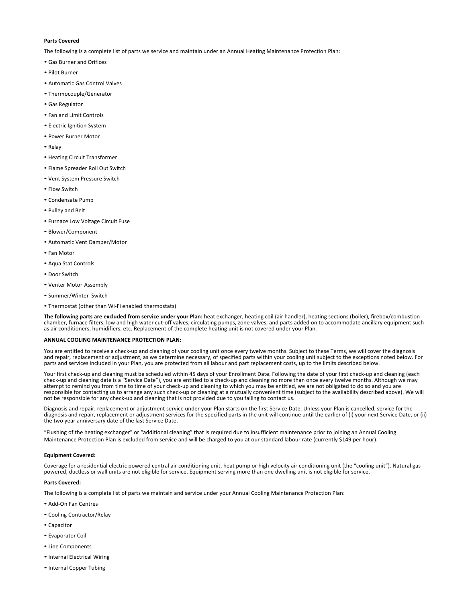### **Parts Covered**

The following is a complete list of parts we service and maintain under an Annual Heating Maintenance Protection Plan:

- Gas Burner and Orifices
- Pilot Burner
- Automatic Gas Control Valves
- Thermocouple/Generator
- Gas Regulator
- Fan and Limit Controls
- Electric Ignition System
- Power Burner Motor
- Relay
- Heating Circuit Transformer
- Flame Spreader Roll Out Switch
- Vent System Pressure Switch
- Flow Switch
- Condensate Pump
- Pulley and Belt
- Furnace Low Voltage Circuit Fuse
- Blower/Component
- Automatic Vent Damper/Motor
- Fan Motor
- Aqua Stat Controls
- Door Switch
- Venter Motor Assembly
- Summer/Winter Switch
- Thermostat (other than Wi-Fi enabled thermostats)

**The following parts are excluded from service under your Plan:** heat exchanger, heating coil (air handler), heating sections (boiler), firebox/combustion chamber, furnace filters, low and high water cut-off valves, circulating pumps, zone valves, and parts added on to accommodate ancillary equipment such as air conditioners, humidifiers, etc. Replacement of the complete heating unit is not covered under your Plan.

#### **ANNUAL COOLING MAINTENANCE PROTECTION PLAN:**

You are entitled to receive a check-up and cleaning of your cooling unit once every twelve months. Subject to these Terms, we will cover the diagnosis and repair, replacement or adjustment, as we determine necessary, of specified parts within your cooling unit subject to the exceptions noted below. For parts and services included in your Plan, you are protected from all labour and part replacement costs, up to the limits described below.

Your first check-up and cleaning must be scheduled within 45 days of your Enrollment Date. Following the date of your first check-up and cleaning (each check-up and cleaning date is a "Service Date"), you are entitled to a check-up and cleaning no more than once every twelve months. Although we may attempt to remind you from time to time of your check-up and cleaning to which you may be entitled, we are not obligated to do so and you are responsible for contacting us to arrange any such check-up or cleaning at a mutually convenient time (subject to the availability described above). We will not be responsible for any check-up and cleaning that is not provided due to you failing to contact us.

Diagnosis and repair, replacement or adjustment service under your Plan starts on the first Service Date. Unless your Plan is cancelled, service for the diagnosis and repair, replacement or adjustment services for the specified parts in the unit will continue until the earlier of (i) your next Service Date, or (ii) the two year anniversary date of the last Service Date.

"Flushing of the heating exchanger" or "additional cleaning" that is required due to insufficient maintenance prior to joining an Annual Cooling Maintenance Protection Plan is excluded from service and will be charged to you at our standard labour rate (currently \$149 per hour).

### **Equipment Covered:**

Coverage for a residential electric powered central air conditioning unit, heat pump or high velocity air conditioning unit (the "cooling unit"). Natural gas powered, ductless or wall units are not eligible for service. Equipment serving more than one dwelling unit is not eligible for service.

### **Parts Covered:**

The following is a complete list of parts we maintain and service under your Annual Cooling Maintenance Protection Plan:

- Add-On Fan Centres
- Cooling Contractor/Relay
- Capacitor
- Evaporator Coil
- Line Components
- •Internal Electrical Wiring
- •Internal Copper Tubing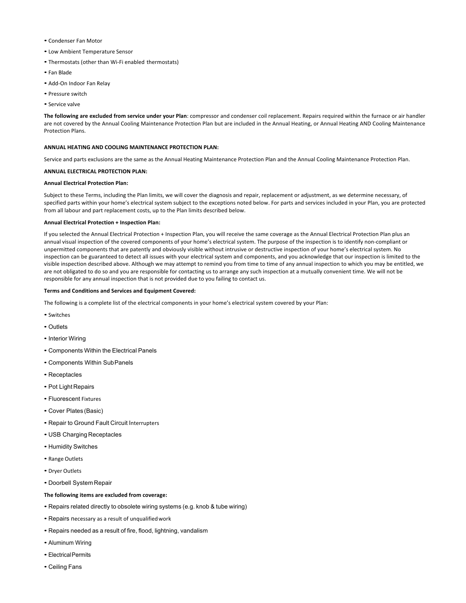- Condenser Fan Motor
- Low Ambient Temperature Sensor
- Thermostats (other than Wi-Fi enabled thermostats)
- Fan Blade
- Add-On Indoor Fan Relay
- Pressure switch
- Service valve

**The following are excluded from service under your Plan**: compressor and condenser coil replacement. Repairs required within the furnace or air handler are not covered by the Annual Cooling Maintenance Protection Plan but are included in the Annual Heating, or Annual Heating AND Cooling Maintenance Protection Plans.

# **ANNUAL HEATING AND COOLING MAINTENANCE PROTECTION PLAN:**

Service and parts exclusions are the same as the Annual Heating Maintenance Protection Plan and the Annual Cooling Maintenance Protection Plan.

# **ANNUAL ELECTRICAL PROTECTION PLAN:**

### **Annual Electrical Protection Plan:**

Subject to these Terms, including the Plan limits, we will cover the diagnosis and repair, replacement or adjustment, as we determine necessary, of specified parts within your home's electrical system subject to the exceptions noted below. For parts and services included in your Plan, you are protected from all labour and part replacement costs, up to the Plan limits described below.

### **Annual Electrical Protection + Inspection Plan:**

If you selected the Annual Electrical Protection + Inspection Plan, you will receive the same coverage as the Annual Electrical Protection Plan plus an annual visual inspection of the covered components of your home's electrical system. The purpose of the inspection is to identify non-compliant or unpermitted components that are patently and obviously visible without intrusive or destructive inspection of your home's electrical system. No inspection can be guaranteed to detect all issues with your electrical system and components, and you acknowledge that our inspection is limited to the visible inspection described above. Although we may attempt to remind you from time to time of any annual inspection to which you may be entitled, we are not obligated to do so and you are responsible for contacting us to arrange any such inspection at a mutually convenient time. We will not be responsible for any annual inspection that is not provided due to you failing to contact us.

#### **Terms and Conditions and Services and Equipment Covered:**

The following is a complete list of the electrical components in your home's electrical system covered by your Plan:

- Switches
- Outlets
- Interior Wiring
- Components Within the Electrical Panels
- Components Within SubPanels
- Receptacles
- Pot Light Repairs
- Fluorescent Fixtures
- Cover Plates (Basic)
- Repair to Ground Fault Circuit Interrupters
- USB Charging Receptacles
- Humidity Switches
- Range Outlets
- Dryer Outlets
- Doorbell System Repair

# **The following items are excluded from coverage:**

- Repairs related directly to obsolete wiring systems (e.g. knob & tube wiring)
- Repairs necessary as a result of unqualifiedwork
- Repairs needed as a result of fire, flood, lightning, vandalism
- Aluminum Wiring
- Electrical Permits
- Ceiling Fans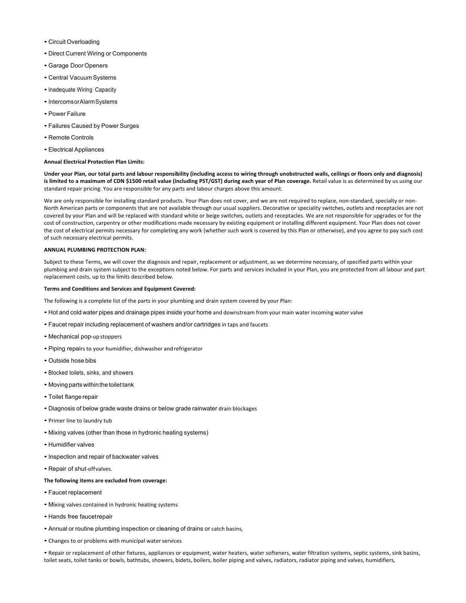- Circuit Overloading
- Direct Current Wiring or Components
- Garage DoorOpeners
- Central Vacuum Systems
- Inadequate Wiring Capacity
- Intercoms or Alarm Systems
- Power Failure
- Failures Caused by Power Surges
- Remote Controls
- Electrical Appliances

### **Annual Electrical Protection Plan Limits:**

**Under your Plan, our total parts and labour responsibility (including access to wiring through unobstructed walls, ceilings or floors only and diagnosis)**  is limited to a maximum of CDN \$1500 retail value (including PST/GST) during each year of Plan coverage. Retail value is as determined by us using our standard repair pricing. You are responsible for any parts and labour charges above this amount.

We are only responsible for installing standard products. Your Plan does not cover, and we are not required to replace, non-standard, specialty or non-North American parts or components that are not available through our usual suppliers. Decorative or speciality switches, outlets and receptacles are not covered by your Plan and will be replaced with standard white or beige switches, outlets and receptacles. We are not responsible for upgrades or for the cost of construction, carpentry or other modifications made necessary by existing equipment or installing different equipment. Your Plan does not cover the cost of electrical permits necessary for completing any work (whether such work is covered by this Plan or otherwise), and you agree to pay such cost of such necessary electrical permits.

### **ANNUAL PLUMBING PROTECTION PLAN:**

Subject to these Terms, we will cover the diagnosis and repair, replacement or adjustment, as we determine necessary, of specified parts within your plumbing and drain system subject to the exceptions noted below. For parts and services included in your Plan, you are protected from all labour and part replacement costs, up to the limits described below.

### **Terms and Conditions and Services and Equipment Covered:**

The following is a complete list of the parts in your plumbing and drain system covered by your Plan:

- Hot and cold water pipes and drainage pipes inside your home and downstream from your main water incoming water valve
- Faucet repair including replacement of washers and/or cartridges in taps and faucets
- Mechanical pop-up stoppers
- Piping repairs to your humidifier, dishwasher andrefrigerator
- Outside hose bibs
- Blocked toilets, sinks, and showers
- Moving parts within the toilet tank
- Toilet flange repair
- Diagnosis of below grade waste drains or below grade rainwater drain blockages
- Primer line to laundry tub
- Mixing valves (other than those in hydronic heating systems)
- Humidifier valves
- •Inspection and repair of backwater valves
- Repair of shut-offvalves.

# **The following items are excluded from coverage:**

- Faucet replacement
- Mixing valves contained in hydronic heating systems
- Hands free faucetrepair
- Annual or routine plumbing inspection or cleaning of drains or catch basins,
- Changes to or problems with municipal waterservices

• Repair or replacement of other fixtures, appliances or equipment, water heaters, water softeners, water filtration systems, septic systems, sink basins, toilet seats, toilet tanks or bowls, bathtubs, showers, bidets, boilers, boiler piping and valves, radiators, radiator piping and valves, humidifiers,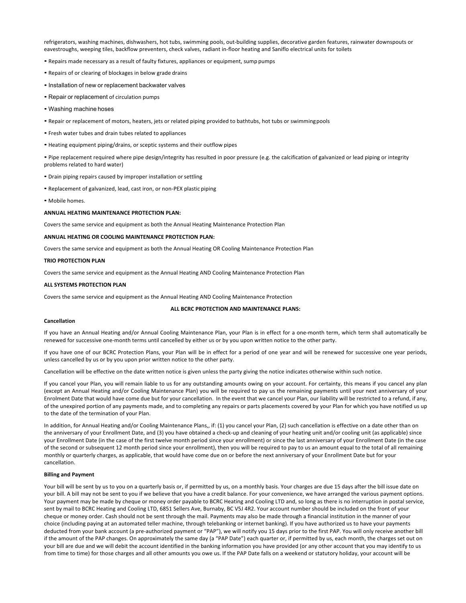refrigerators, washing machines, dishwashers, hot tubs, swimming pools, out-building supplies, decorative garden features, rainwater downspouts or eavestroughs, weeping tiles, backflow preventers, check valves, radiant in-floor heating and Saniflo electrical units for toilets

- Repairs made necessary as a result of faulty fixtures, appliances or equipment, sump pumps
- Repairs of or clearing of blockages in below grade drains
- Installation of new or replacement backwater valves
- Repair or replacement of circulation pumps
- Washing machine hoses
- Repair or replacement of motors, heaters, jets or related piping provided to bathtubs, hot tubs or swimmingpools
- Fresh water tubes and drain tubes related to appliances
- Heating equipment piping/drains, or sceptic systems and their outflow pipes

• Pipe replacement required where pipe design/integrity has resulted in poor pressure (e.g. the calcification of galvanized or lead piping or integrity problems related to hard water)

- Drain piping repairs caused by improper installation or settling
- Replacement of galvanized, lead, cast iron, or non-PEX plastic piping
- Mobile homes.

#### **ANNUAL HEATING MAINTENANCE PROTECTION PLAN:**

Covers the same service and equipment as both the Annual Heating Maintenance Protection Plan

#### **ANNUAL HEATING OR COOLING MAINTENANCE PROTECTION PLAN:**

Covers the same service and equipment as both the Annual Heating OR Cooling Maintenance Protection Plan

#### **TRIO PROTECTION PLAN**

Covers the same service and equipment as the Annual Heating AND Cooling Maintenance Protection Plan

#### **ALL SYSTEMS PROTECTION PLAN**

Covers the same service and equipment as the Annual Heating AND Cooling Maintenance Protection

### **ALL BCRC PROTECTION AND MAINTENANCE PLANS:**

#### **Cancellation**

If you have an Annual Heating and/or Annual Cooling Maintenance Plan, your Plan is in effect for a one-month term, which term shall automatically be renewed for successive one-month terms until cancelled by either us or by you upon written notice to the other party.

If you have one of our BCRC Protection Plans, your Plan will be in effect for a period of one year and will be renewed for successive one year periods, unless cancelled by us or by you upon prior written notice to the other party.

Cancellation will be effective on the date written notice is given unless the party giving the notice indicates otherwise within such notice.

If you cancel your Plan, you will remain liable to us for any outstanding amounts owing on your account. For certainty, this means if you cancel any plan (except an Annual Heating and/or Cooling Maintenance Plan) you will be required to pay us the remaining payments until your next anniversary of your Enrolment Date that would have come due but for your cancellation. In the event that we cancel your Plan, our liability will be restricted to a refund, if any, of the unexpired portion of any payments made, and to completing any repairs or parts placements covered by your Plan for which you have notified us up to the date of the termination of your Plan.

In addition, for Annual Heating and/or Cooling Maintenance Plans,, if: (1) you cancel your Plan, (2) such cancellation is effective on a date other than on the anniversary of your Enrollment Date, and (3) you have obtained a check-up and cleaning of your heating unit and/or cooling unit (as applicable) since your Enrollment Date (in the case of the first twelve month period since your enrollment) or since the last anniversary of your Enrollment Date (in the case of the second or subsequent 12 month period since your enrollment), then you will be required to pay to us an amount equal to the total of all remaining monthly or quarterly charges, as applicable, that would have come due on or before the next anniversary of your Enrollment Date but for your cancellation.

#### **Billing and Payment**

Your bill will be sent by us to you on a quarterly basis or, if permitted by us, on a monthly basis. Your charges are due 15 days after the bill issue date on your bill. A bill may not be sent to you if we believe that you have a credit balance. For your convenience, we have arranged the various payment options. Your payment may be made by cheque or money order payable to BCRC Heating and Cooling LTD and, so long as there is no interruption in postal service, sent by mail to BCRC Heating and Cooling LTD, 6851 Sellers Ave, Burnaby, BC V5J 4R2. Your account number should be included on the front of your cheque or money order. Cash should not be sent through the mail. Payments may also be made through a financial institution in the manner of your choice (including paying at an automated teller machine, through telebanking or internet banking). If you have authorized us to have your payments deducted from your bank account (a pre-authorized payment or "PAP"), we will notify you 15 days prior to the first PAP. You will only receive another bill if the amount of the PAP changes. On approximately the same day (a "PAP Date") each quarter or, if permitted by us, each month, the charges set out on your bill are due and we will debit the account identified in the banking information you have provided (or any other account that you may identify to us from time to time) for those charges and all other amounts you owe us. If the PAP Date falls on a weekend or statutory holiday, your account will be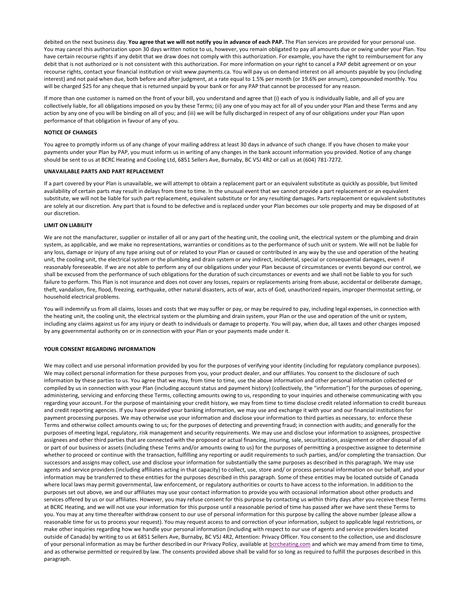debited on the next business day. **You agree that we will not notify you in advance of each PAP.** The Plan services are provided for your personal use. You may cancel this authorization upon 30 days written notice to us, however, you remain obligated to pay all amounts due or owing under your Plan. You have certain recourse rights if any debit that we draw does not comply with this authorization. For example, you have the right to reimbursement for any debit that is not authorized or is not consistent with this authorization. For more information on your right to cancel a PAP debit agreement or on your recourse rights, contact your financial institution or visit www.payments.ca. You will pay us on demand interest on all amounts payable by you (including interest) and not paid when due, both before and after judgment, at a rate equal to 1.5% per month (or 19.6% per annum), compounded monthly. You will be charged \$25 for any cheque that is returned unpaid by your bank or for any PAP that cannot be processed for any reason.

If more than one customer is named on the front of your bill, you understand and agree that (i) each of you is individually liable, and all of you are collectively liable, for all obligations imposed on you by these Terms; (ii) any one of you may act for all of you under your Plan and these Terms and any action by any one of you will be binding on all of you; and (iii) we will be fully discharged in respect of any of our obligations under your Plan upon performance of that obligation in favour of any of you.

#### **NOTICE OF CHANGES**

You agree to promptly inform us of any change of your mailing address at least 30 days in advance of such change. If you have chosen to make your payments under your Plan by PAP, you must inform us in writing of any changes in the bank account information you provided. Notice of any change should be sent to us at BCRC Heating and Cooling Ltd, 6851 Sellers Ave, Burnaby, BC V5J 4R2 or call us at (604) 781-7272.

### **UNAVAILABLE PARTS AND PART REPLACEMENT**

If a part covered by your Plan is unavailable, we will attempt to obtain a replacement part or an equivalent substitute as quickly as possible, but limited availability of certain parts may result in delays from time to time. In the unusual event that we cannot provide a part replacement or an equivalent substitute, we will not be liable for such part replacement, equivalent substitute or for any resulting damages. Parts replacement or equivalent substitutes are solely at our discretion. Any part that is found to be defective and is replaced under your Plan becomes our sole property and may be disposed of at our discretion.

# **LIMIT ON LIABILITY**

We are not the manufacturer, supplier or installer of all or any part of the heating unit, the cooling unit, the electrical system or the plumbing and drain system, as applicable, and we make no representations, warranties or conditions as to the performance of such unit or system. We will not be liable for any loss, damage or injury of any type arising out of or related to your Plan or caused or contributed in any way by the use and operation of the heating unit, the cooling unit, the electrical system or the plumbing and drain system or any indirect, incidental, special or consequential damages, even if reasonably foreseeable. If we are not able to perform any of our obligations under your Plan because of circumstances or events beyond our control, we shall be excused from the performance of such obligations for the duration of such circumstances or events and we shall not be liable to you for such failure to perform. This Plan is not insurance and does not cover any losses, repairs or replacements arising from abuse, accidental or deliberate damage, theft, vandalism, fire, flood, freezing, earthquake, other natural disasters, acts of war, acts of God, unauthorized repairs, improper thermostat setting, or household electrical problems.

You will indemnify us from all claims, losses and costs that we may suffer or pay, or may be required to pay, including legal expenses, in connection with the heating unit, the cooling unit, the electrical system or the plumbing and drain system, your Plan or the use and operation of the unit or system, including any claims against us for any injury or death to individuals or damage to property. You will pay, when due, all taxes and other charges imposed by any governmental authority on or in connection with your Plan or your payments made under it.

#### **YOUR CONSENT REGARDING INFORMATION**

We may collect and use personal information provided by you for the purposes of verifying your identity (including for regulatory compliance purposes). We may collect personal information for these purposes from you, your product dealer, and our affiliates. You consent to the disclosure of such information by these parties to us. You agree that we may, from time to time, use the above information and other personal information collected or compiled by us in connection with your Plan (including account status and payment history) (collectively, the "information") for the purposes of opening, administering, servicing and enforcing these Terms, collecting amounts owing to us, responding to your inquiries and otherwise communicating with you regarding your account. For the purpose of maintaining your credit history, we may from time to time disclose credit related information to credit bureaus and credit reporting agencies. If you have provided your banking information, we may use and exchange it with your and our financial institutions for payment processing purposes. We may otherwise use your information and disclose your information to third parties as necessary, to: enforce these Terms and otherwise collect amounts owing to us; for the purposes of detecting and preventing fraud; in connection with audits; and generally for the purposes of meeting legal, regulatory, risk management and security requirements. We may use and disclose your information to assignees, prospective assignees and other third parties that are connected with the proposed or actual financing, insuring, sale, securitization, assignment or other disposal of all or part of our business or assets (including these Terms and/or amounts owing to us) for the purposes of permitting a prospective assignee to determine whether to proceed or continue with the transaction, fulfilling any reporting or audit requirements to such parties, and/or completing the transaction. Our successors and assigns may collect, use and disclose your information for substantially the same purposes as described in this paragraph. We may use agents and service providers (including affiliates acting in that capacity) to collect, use, store and/ or process personal information on our behalf, and your information may be transferred to these entities for the purposes described in this paragraph. Some of these entities may be located outside of Canada where local laws may permit governmental, law enforcement, or regulatory authorities or courts to have access to the information. In addition to the purposes set out above, we and our affiliates may use your contact information to provide you with occasional information about other products and services offered by us or our affiliates. However, you may refuse consent for this purpose by contacting us within thirty days after you receive these Terms at BCRC Heating, and we will not use your information for this purpose until a reasonable period of time has passed after we have sent these Terms to you. You may at any time thereafter withdraw consent to our use of personal information for this purpose by calling the above number (please allow a reasonable time for us to process your request). You may request access to and correction of your information, subject to applicable legal restrictions, or make other inquiries regarding how we handle your personal information (including with respect to our use of agents and service providers located outside of Canada) by writing to us at 6851 Sellers Ave, Burnaby, BC V5J 4R2, Attention: Privacy Officer. You consent to the collection, use and disclosure of your personal information as may be further described in our Privacy Policy, available at bcrcheating.com and which we may amend from time to time, and as otherwise permitted or required by law. The consents provided above shall be valid for so long as required to fulfill the purposes described in this paragraph.